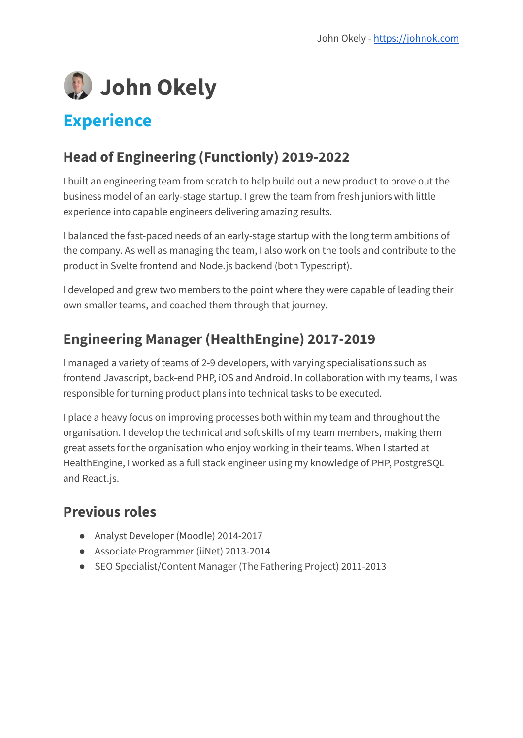

## **Experience**

### **Head of Engineering (Functionly) 2019-2022**

I built an engineering team from scratch to help build out a new product to prove out the business model of an early-stage startup. I grew the team from fresh juniors with little experience into capable engineers delivering amazing results.

I balanced the fast-paced needs of an early-stage startup with the long term ambitions of the company. As well as managing the team, I also work on the tools and contribute to the product in Svelte frontend and Node.js backend (both Typescript).

I developed and grew two members to the point where they were capable of leading their own smaller teams, and coached them through that journey.

### **Engineering Manager (HealthEngine) 2017-2019**

I managed a variety of teams of 2-9 developers, with varying specialisations such as frontend Javascript, back-end PHP, iOS and Android. In collaboration with my teams, I was responsible for turning product plans into technical tasks to be executed.

I place a heavy focus on improving processes both within my team and throughout the organisation. I develop the technical and soft skills of my team members, making them great assets for the organisation who enjoy working in their teams. When I started at HealthEngine, I worked as a full stack engineer using my knowledge of PHP, PostgreSQL and React.js.

#### **Previous roles**

- Analyst Developer (Moodle) 2014-2017
- Associate Programmer (iiNet) 2013-2014
- SEO Specialist/Content Manager (The Fathering Project) 2011-2013